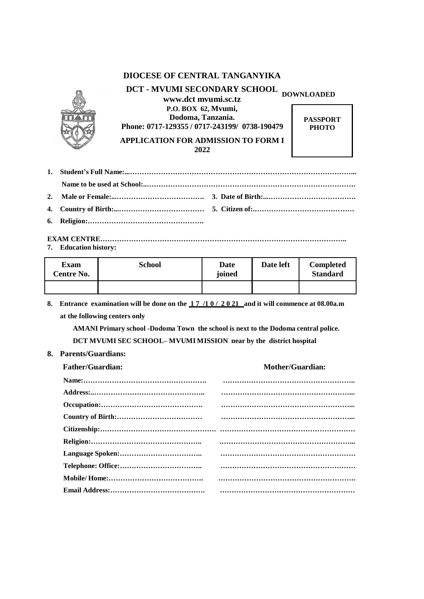## **DIOCESE OF CENTRAL TANGANYIKA**



**DCT - MVUMI SECONDARY SCHOOL DOWNLOADED [www.dct](http://www.dct/) mvumi.sc.tz P.O. BOX 62, Mvumi, Dodoma, Tanzania. Phone: 0717-129355 / 0717-243199/ 0738-190479**

**APPLICATION FOR ADMISSION TO FORM I 2022**

**PASSPORT PHOTO**

#### **EXAM CENTRE………………………………………………………………………………………….. 7. Education history:**

| <b>Exam</b><br><b>Centre No.</b> | School | Date<br>joined | Date left | <b>Completed</b><br><b>Standard</b> |
|----------------------------------|--------|----------------|-----------|-------------------------------------|
|                                  |        |                |           |                                     |

**8. Entrance examination will be done on the 1 7 /1 0 / 2 0 21 and it will commence at 08.00a.m at the following centers only**

**AMANI Primary school -Dodoma Town the school is next to the Dodoma central police. DCT MVUMI SEC SCHOOL– MVUMI MISSION near by the district hospital**

**8. Parents/Guardians:**

| <b>Father/Guardian:</b> | <b>Mother/Guardian:</b> |
|-------------------------|-------------------------|
|                         |                         |
|                         |                         |
|                         |                         |
|                         |                         |
|                         |                         |
|                         |                         |
|                         |                         |
|                         |                         |
|                         |                         |
|                         |                         |